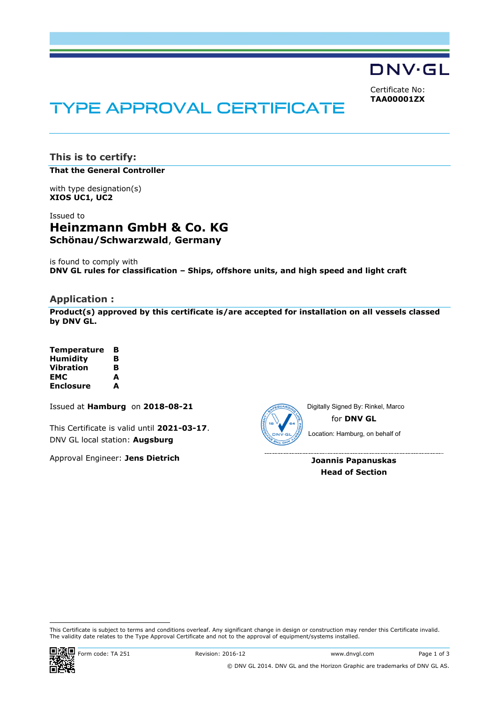**DNV·GL** 

Certificate No: **TAA00001ZX**

# **TYPE APPROVAL CERTIFICATE**

**This is to certify:**

**That the General Controller**

with type designation(s) **XIOS UC1, UC2**

# Issued to **Heinzmann GmbH & Co. KG Schönau/Schwarzwald**, **Germany**

is found to comply with **DNV GL rules for classification – Ships, offshore units, and high speed and light craft**

# **Application :**

**Product(s) approved by this certificate is/are accepted for installation on all vessels classed by DNV GL.**

| <b>Temperature</b> | в |
|--------------------|---|
| <b>Humidity</b>    | в |
| Vibration          | в |
| EMC                | A |
| <b>Enclosure</b>   | A |

Issued at **Hamburg** on **2018-08-21**

This Certificate is valid until **2021-03-17**. DNV GL local station: **Augsburg**

Approval Engineer: **Jens Dietrich**



for **DNV GL** Digitally Signed By: Rinkel, Marco Location: Hamburg, on behalf of

**Joannis Papanuskas Head of Section**

 This Certificate is subject to terms and conditions overleaf. Any significant change in design or construction may render this Certificate invalid. The validity date relates to the Type Approval Certificate and not to the approval of equipment/systems installed.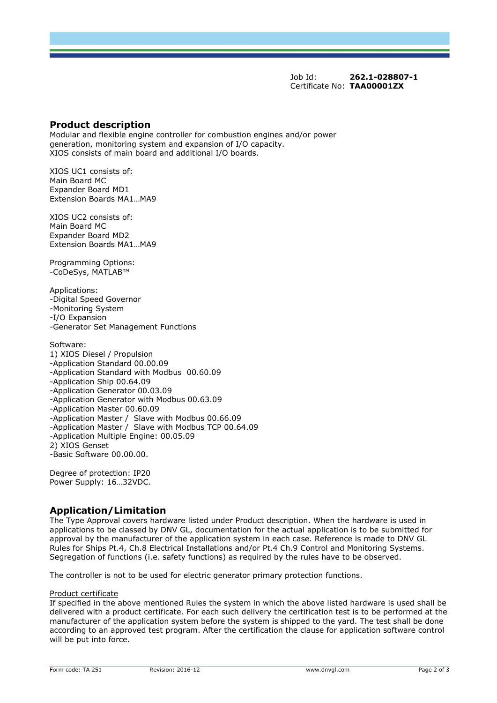Job Id: **262.1-028807-1** Certificate No: **TAA00001ZX**

### **Product description**

Modular and flexible engine controller for combustion engines and/or power generation, monitoring system and expansion of I/O capacity. XIOS consists of main board and additional I/O boards.

XIOS UC1 consists of: Main Board MC Expander Board MD1 Extension Boards MA1…MA9

XIOS UC2 consists of: Main Board MC Expander Board MD2 Extension Boards MA1…MA9

Programming Options: -CoDeSys, MATLAB™

Applications: -Digital Speed Governor -Monitoring System -I/O Expansion -Generator Set Management Functions

Software: 1) XIOS Diesel / Propulsion -Application Standard 00.00.09 -Application Standard with Modbus 00.60.09 -Application Ship 00.64.09 -Application Generator 00.03.09 -Application Generator with Modbus 00.63.09 -Application Master 00.60.09 -Application Master / Slave with Modbus 00.66.09 -Application Master / Slave with Modbus TCP 00.64.09 -Application Multiple Engine: 00.05.09 2) XIOS Genset -Basic Software 00.00.00.

Degree of protection: IP20 Power Supply: 16…32VDC.

# **Application/Limitation**

The Type Approval covers hardware listed under Product description. When the hardware is used in applications to be classed by DNV GL, documentation for the actual application is to be submitted for approval by the manufacturer of the application system in each case. Reference is made to DNV GL Rules for Ships Pt.4, Ch.8 Electrical Installations and/or Pt.4 Ch.9 Control and Monitoring Systems. Segregation of functions (i.e. safety functions) as required by the rules have to be observed.

The controller is not to be used for electric generator primary protection functions.

#### Product certificate

If specified in the above mentioned Rules the system in which the above listed hardware is used shall be delivered with a product certificate. For each such delivery the certification test is to be performed at the manufacturer of the application system before the system is shipped to the yard. The test shall be done according to an approved test program. After the certification the clause for application software control will be put into force.